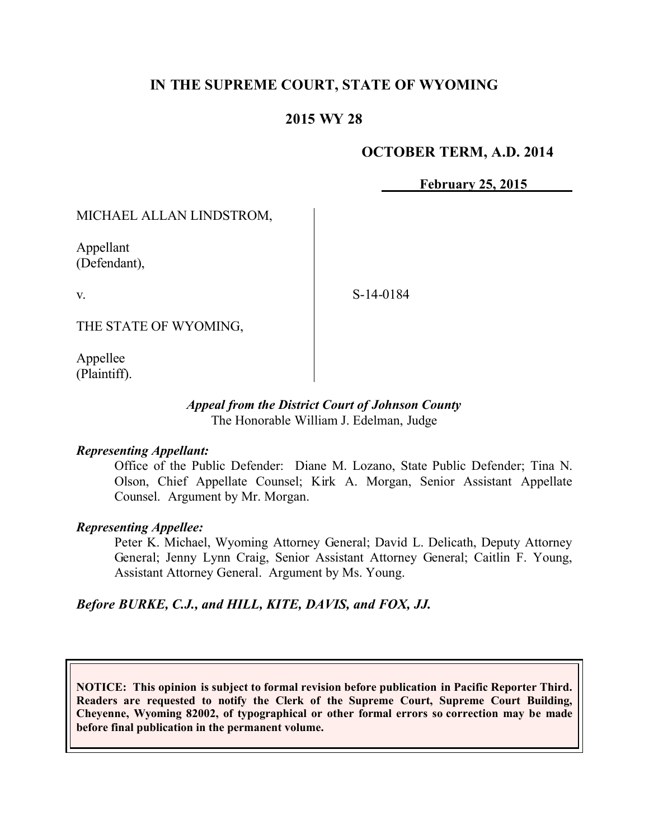# **IN THE SUPREME COURT, STATE OF WYOMING**

## **2015 WY 28**

### **OCTOBER TERM, A.D. 2014**

**February 25, 2015**

MICHAEL ALLAN LINDSTROM,

Appellant (Defendant),

v.

S-14-0184

THE STATE OF WYOMING,

Appellee (Plaintiff).

#### *Appeal from the District Court of Johnson County* The Honorable William J. Edelman, Judge

### *Representing Appellant:*

Office of the Public Defender: Diane M. Lozano, State Public Defender; Tina N. Olson, Chief Appellate Counsel; Kirk A. Morgan, Senior Assistant Appellate Counsel. Argument by Mr. Morgan.

#### *Representing Appellee:*

Peter K. Michael, Wyoming Attorney General; David L. Delicath, Deputy Attorney General; Jenny Lynn Craig, Senior Assistant Attorney General; Caitlin F. Young, Assistant Attorney General. Argument by Ms. Young.

*Before BURKE, C.J., and HILL, KITE, DAVIS, and FOX, JJ.*

**NOTICE: This opinion is subject to formal revision before publication in Pacific Reporter Third. Readers are requested to notify the Clerk of the Supreme Court, Supreme Court Building, Cheyenne, Wyoming 82002, of typographical or other formal errors so correction may be made before final publication in the permanent volume.**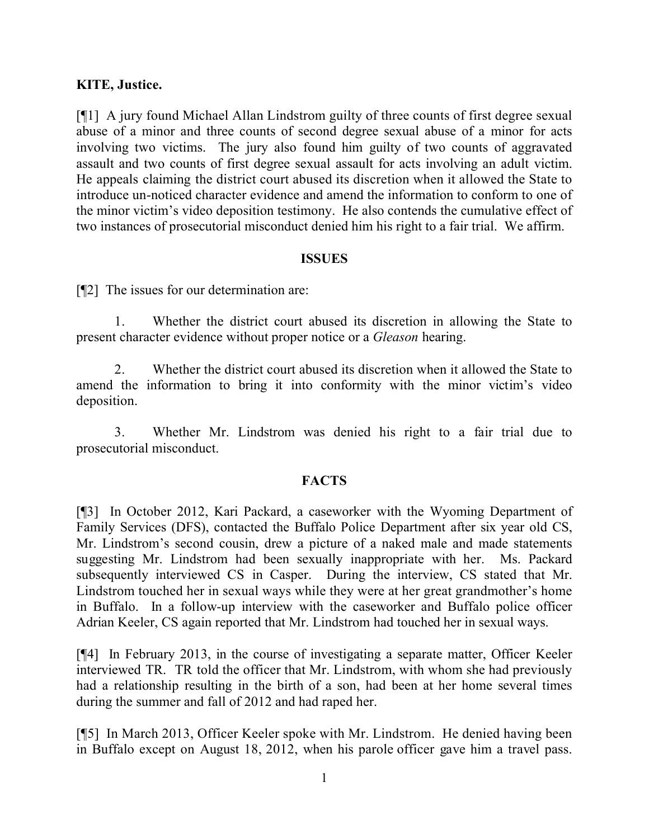## **KITE, Justice.**

[¶1] A jury found Michael Allan Lindstrom guilty of three counts of first degree sexual abuse of a minor and three counts of second degree sexual abuse of a minor for acts involving two victims. The jury also found him guilty of two counts of aggravated assault and two counts of first degree sexual assault for acts involving an adult victim. He appeals claiming the district court abused its discretion when it allowed the State to introduce un-noticed character evidence and amend the information to conform to one of the minor victim's video deposition testimony. He also contends the cumulative effect of two instances of prosecutorial misconduct denied him his right to a fair trial. We affirm.

### **ISSUES**

[¶2] The issues for our determination are:

1. Whether the district court abused its discretion in allowing the State to present character evidence without proper notice or a *Gleason* hearing.

2. Whether the district court abused its discretion when it allowed the State to amend the information to bring it into conformity with the minor victim's video deposition.

3. Whether Mr. Lindstrom was denied his right to a fair trial due to prosecutorial misconduct.

### **FACTS**

[¶3] In October 2012, Kari Packard, a caseworker with the Wyoming Department of Family Services (DFS), contacted the Buffalo Police Department after six year old CS, Mr. Lindstrom's second cousin, drew a picture of a naked male and made statements suggesting Mr. Lindstrom had been sexually inappropriate with her. Ms. Packard subsequently interviewed CS in Casper. During the interview, CS stated that Mr. Lindstrom touched her in sexual ways while they were at her great grandmother's home in Buffalo. In a follow-up interview with the caseworker and Buffalo police officer Adrian Keeler, CS again reported that Mr. Lindstrom had touched her in sexual ways.

[¶4] In February 2013, in the course of investigating a separate matter, Officer Keeler interviewed TR. TR told the officer that Mr. Lindstrom, with whom she had previously had a relationship resulting in the birth of a son, had been at her home several times during the summer and fall of 2012 and had raped her.

[¶5] In March 2013, Officer Keeler spoke with Mr. Lindstrom. He denied having been in Buffalo except on August 18, 2012, when his parole officer gave him a travel pass.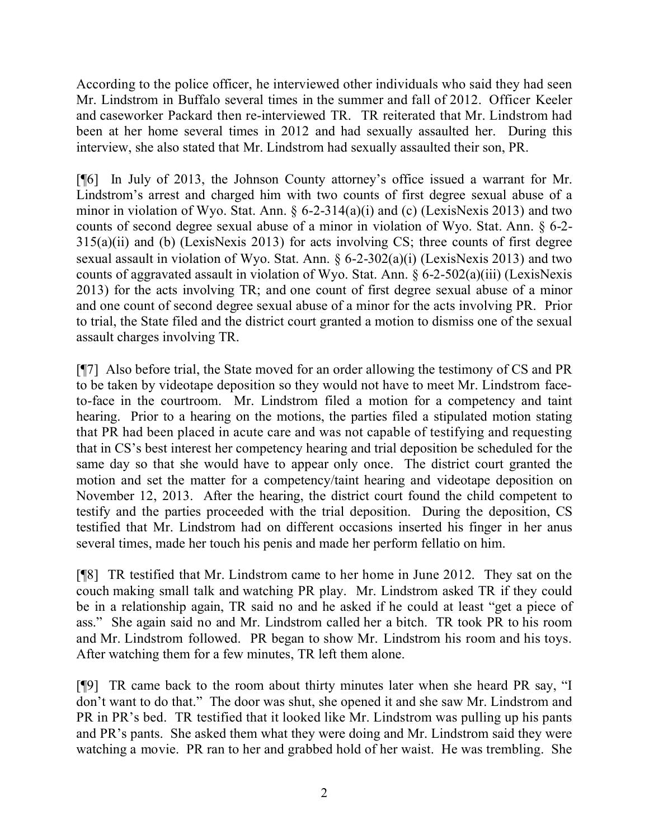According to the police officer, he interviewed other individuals who said they had seen Mr. Lindstrom in Buffalo several times in the summer and fall of 2012. Officer Keeler and caseworker Packard then re-interviewed TR. TR reiterated that Mr. Lindstrom had been at her home several times in 2012 and had sexually assaulted her. During this interview, she also stated that Mr. Lindstrom had sexually assaulted their son, PR.

[¶6] In July of 2013, the Johnson County attorney's office issued a warrant for Mr. Lindstrom's arrest and charged him with two counts of first degree sexual abuse of a minor in violation of Wyo. Stat. Ann.  $\S 6$ -2-314(a)(i) and (c) (LexisNexis 2013) and two counts of second degree sexual abuse of a minor in violation of Wyo. Stat. Ann. § 6-2- 315(a)(ii) and (b) (LexisNexis 2013) for acts involving CS; three counts of first degree sexual assault in violation of Wyo. Stat. Ann. § 6-2-302(a)(i) (LexisNexis 2013) and two counts of aggravated assault in violation of Wyo. Stat. Ann. § 6-2-502(a)(iii) (LexisNexis 2013) for the acts involving TR; and one count of first degree sexual abuse of a minor and one count of second degree sexual abuse of a minor for the acts involving PR. Prior to trial, the State filed and the district court granted a motion to dismiss one of the sexual assault charges involving TR.

[¶7] Also before trial, the State moved for an order allowing the testimony of CS and PR to be taken by videotape deposition so they would not have to meet Mr. Lindstrom faceto-face in the courtroom. Mr. Lindstrom filed a motion for a competency and taint hearing. Prior to a hearing on the motions, the parties filed a stipulated motion stating that PR had been placed in acute care and was not capable of testifying and requesting that in CS's best interest her competency hearing and trial deposition be scheduled for the same day so that she would have to appear only once. The district court granted the motion and set the matter for a competency/taint hearing and videotape deposition on November 12, 2013. After the hearing, the district court found the child competent to testify and the parties proceeded with the trial deposition. During the deposition, CS testified that Mr. Lindstrom had on different occasions inserted his finger in her anus several times, made her touch his penis and made her perform fellatio on him.

[¶8] TR testified that Mr. Lindstrom came to her home in June 2012. They sat on the couch making small talk and watching PR play. Mr. Lindstrom asked TR if they could be in a relationship again, TR said no and he asked if he could at least "get a piece of ass." She again said no and Mr. Lindstrom called her a bitch. TR took PR to his room and Mr. Lindstrom followed. PR began to show Mr. Lindstrom his room and his toys. After watching them for a few minutes, TR left them alone.

[¶9] TR came back to the room about thirty minutes later when she heard PR say, "I don't want to do that." The door was shut, she opened it and she saw Mr. Lindstrom and PR in PR's bed. TR testified that it looked like Mr. Lindstrom was pulling up his pants and PR's pants. She asked them what they were doing and Mr. Lindstrom said they were watching a movie. PR ran to her and grabbed hold of her waist. He was trembling. She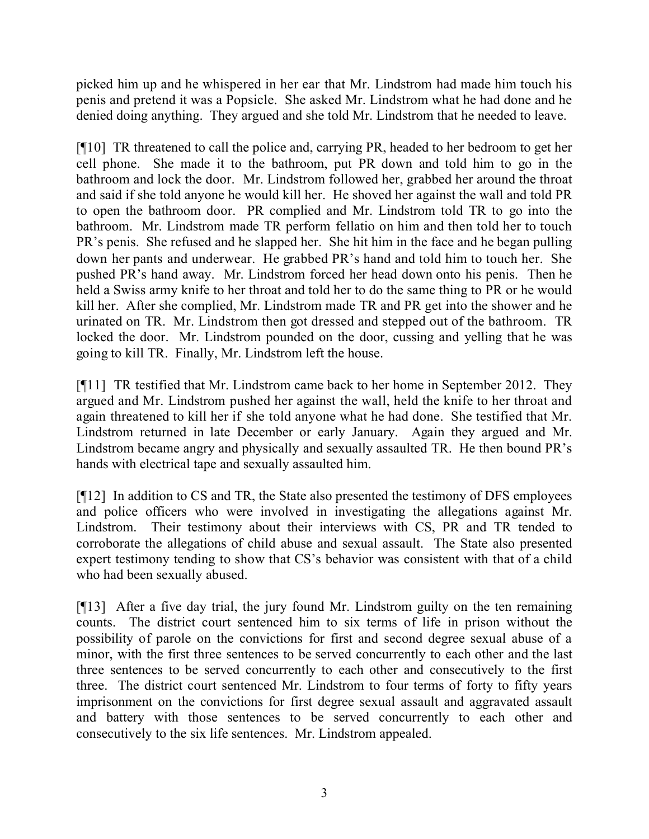picked him up and he whispered in her ear that Mr. Lindstrom had made him touch his penis and pretend it was a Popsicle. She asked Mr. Lindstrom what he had done and he denied doing anything. They argued and she told Mr. Lindstrom that he needed to leave.

[¶10] TR threatened to call the police and, carrying PR, headed to her bedroom to get her cell phone. She made it to the bathroom, put PR down and told him to go in the bathroom and lock the door. Mr. Lindstrom followed her, grabbed her around the throat and said if she told anyone he would kill her. He shoved her against the wall and told PR to open the bathroom door. PR complied and Mr. Lindstrom told TR to go into the bathroom. Mr. Lindstrom made TR perform fellatio on him and then told her to touch PR's penis. She refused and he slapped her. She hit him in the face and he began pulling down her pants and underwear. He grabbed PR's hand and told him to touch her. She pushed PR's hand away. Mr. Lindstrom forced her head down onto his penis. Then he held a Swiss army knife to her throat and told her to do the same thing to PR or he would kill her. After she complied, Mr. Lindstrom made TR and PR get into the shower and he urinated on TR. Mr. Lindstrom then got dressed and stepped out of the bathroom. TR locked the door. Mr. Lindstrom pounded on the door, cussing and yelling that he was going to kill TR. Finally, Mr. Lindstrom left the house.

[¶11] TR testified that Mr. Lindstrom came back to her home in September 2012. They argued and Mr. Lindstrom pushed her against the wall, held the knife to her throat and again threatened to kill her if she told anyone what he had done. She testified that Mr. Lindstrom returned in late December or early January. Again they argued and Mr. Lindstrom became angry and physically and sexually assaulted TR. He then bound PR's hands with electrical tape and sexually assaulted him.

[¶12] In addition to CS and TR, the State also presented the testimony of DFS employees and police officers who were involved in investigating the allegations against Mr. Lindstrom. Their testimony about their interviews with CS, PR and TR tended to corroborate the allegations of child abuse and sexual assault. The State also presented expert testimony tending to show that CS's behavior was consistent with that of a child who had been sexually abused.

[¶13] After a five day trial, the jury found Mr. Lindstrom guilty on the ten remaining counts. The district court sentenced him to six terms of life in prison without the possibility of parole on the convictions for first and second degree sexual abuse of a minor, with the first three sentences to be served concurrently to each other and the last three sentences to be served concurrently to each other and consecutively to the first three. The district court sentenced Mr. Lindstrom to four terms of forty to fifty years imprisonment on the convictions for first degree sexual assault and aggravated assault and battery with those sentences to be served concurrently to each other and consecutively to the six life sentences. Mr. Lindstrom appealed.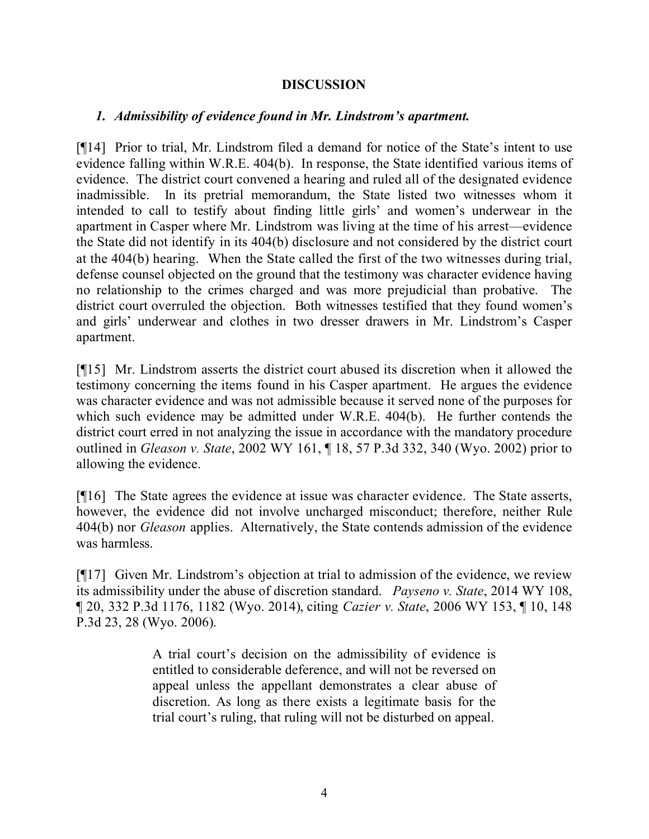### **DISCUSSION**

### *1. Admissibility of evidence found in Mr. Lindstrom's apartment.*

[¶14] Prior to trial, Mr. Lindstrom filed a demand for notice of the State's intent to use evidence falling within W.R.E. 404(b). In response, the State identified various items of evidence. The district court convened a hearing and ruled all of the designated evidence inadmissible. In its pretrial memorandum, the State listed two witnesses whom it intended to call to testify about finding little girls' and women's underwear in the apartment in Casper where Mr. Lindstrom was living at the time of his arrest—evidence the State did not identify in its 404(b) disclosure and not considered by the district court at the 404(b) hearing. When the State called the first of the two witnesses during trial, defense counsel objected on the ground that the testimony was character evidence having no relationship to the crimes charged and was more prejudicial than probative. The district court overruled the objection. Both witnesses testified that they found women's and girls' underwear and clothes in two dresser drawers in Mr. Lindstrom's Casper apartment.

[¶15] Mr. Lindstrom asserts the district court abused its discretion when it allowed the testimony concerning the items found in his Casper apartment. He argues the evidence was character evidence and was not admissible because it served none of the purposes for which such evidence may be admitted under W.R.E. 404(b). He further contends the district court erred in not analyzing the issue in accordance with the mandatory procedure outlined in *Gleason v. State*, 2002 WY 161, ¶ 18, 57 P.3d 332, 340 (Wyo. 2002) prior to allowing the evidence.

[¶16] The State agrees the evidence at issue was character evidence. The State asserts, however, the evidence did not involve uncharged misconduct; therefore, neither Rule 404(b) nor *Gleason* applies. Alternatively, the State contends admission of the evidence was harmless.

[¶17] Given Mr. Lindstrom's objection at trial to admission of the evidence, we review its admissibility under the abuse of discretion standard. *Payseno v. State*, 2014 WY 108, ¶ 20, 332 P.3d 1176, 1182 (Wyo. 2014), citing *Cazier v. State*, 2006 WY 153, ¶ 10, 148 P.3d 23, 28 (Wyo. 2006).

> A trial court's decision on the admissibility of evidence is entitled to considerable deference, and will not be reversed on appeal unless the appellant demonstrates a clear abuse of discretion. As long as there exists a legitimate basis for the trial court's ruling, that ruling will not be disturbed on appeal.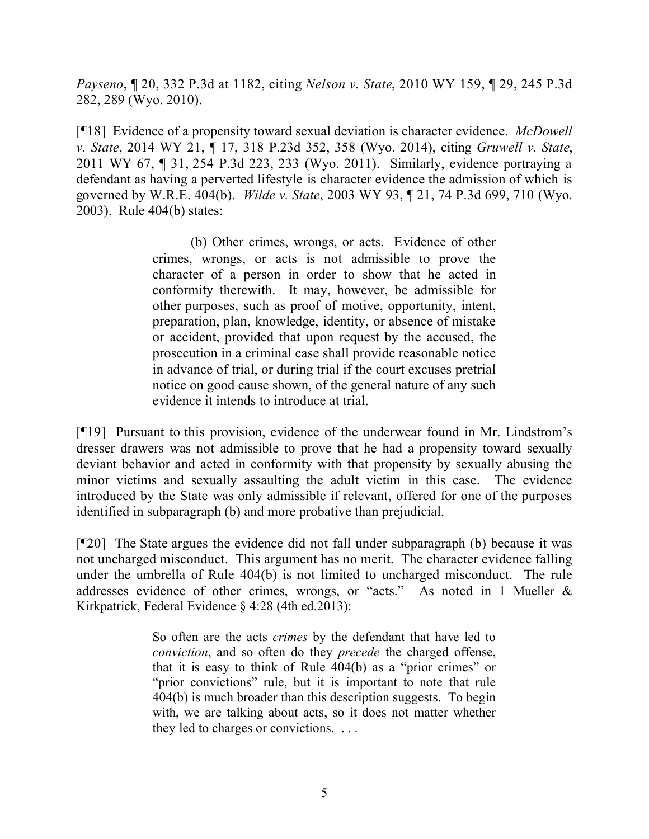*Payseno*, ¶ 20, 332 P.3d at 1182, citing *Nelson v. State*, 2010 WY 159, ¶ 29, 245 P.3d 282, 289 (Wyo. 2010).

[¶18] Evidence of a propensity toward sexual deviation is character evidence. *McDowell v. State*, 2014 WY 21, ¶ 17, 318 P.23d 352, 358 (Wyo. 2014), citing *Gruwell v. State*, 2011 WY 67, ¶ 31, 254 P.3d 223, 233 (Wyo. 2011). Similarly, evidence portraying a defendant as having a perverted lifestyle is character evidence the admission of which is governed by W.R.E. 404(b). *Wilde v. State*, 2003 WY 93, ¶ 21, 74 P.3d 699, 710 (Wyo. 2003). Rule 404(b) states:

> (b) Other crimes, wrongs, or acts. Evidence of other crimes, wrongs, or acts is not admissible to prove the character of a person in order to show that he acted in conformity therewith. It may, however, be admissible for other purposes, such as proof of motive, opportunity, intent, preparation, plan, knowledge, identity, or absence of mistake or accident, provided that upon request by the accused, the prosecution in a criminal case shall provide reasonable notice in advance of trial, or during trial if the court excuses pretrial notice on good cause shown, of the general nature of any such evidence it intends to introduce at trial.

[¶19] Pursuant to this provision, evidence of the underwear found in Mr. Lindstrom's dresser drawers was not admissible to prove that he had a propensity toward sexually deviant behavior and acted in conformity with that propensity by sexually abusing the minor victims and sexually assaulting the adult victim in this case. The evidence introduced by the State was only admissible if relevant, offered for one of the purposes identified in subparagraph (b) and more probative than prejudicial.

[¶20] The State argues the evidence did not fall under subparagraph (b) because it was not uncharged misconduct. This argument has no merit. The character evidence falling under the umbrella of Rule 404(b) is not limited to uncharged misconduct. The rule addresses evidence of other crimes, wrongs, or "acts." As noted in 1 Mueller & Kirkpatrick, Federal Evidence § 4:28 (4th ed.2013):

> So often are the acts *crimes* by the defendant that have led to *conviction*, and so often do they *precede* the charged offense, that it is easy to think of Rule 404(b) as a "prior crimes" or "prior convictions" rule, but it is important to note that rule 404(b) is much broader than this description suggests. To begin with, we are talking about acts, so it does not matter whether they led to charges or convictions. . . .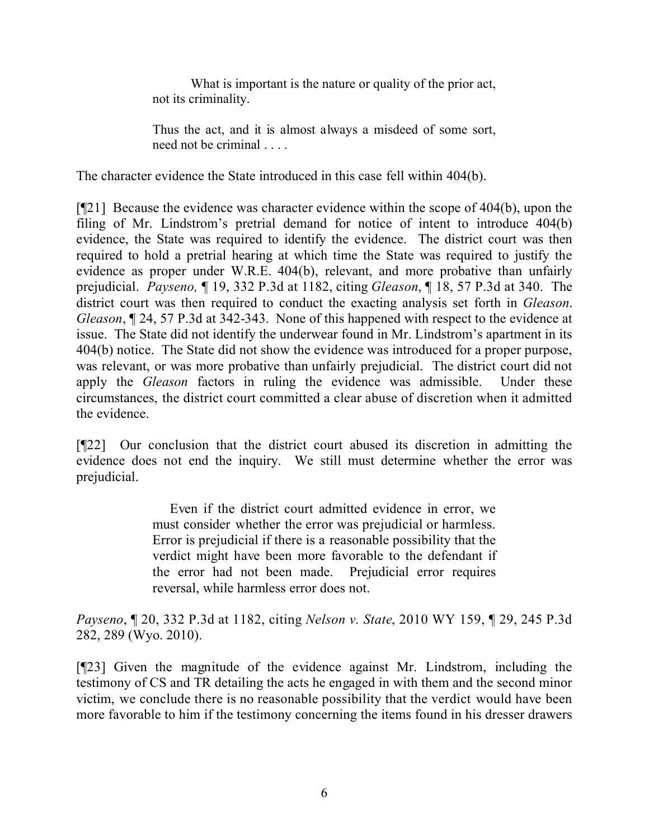What is important is the nature or quality of the prior act, not its criminality.

Thus the act, and it is almost always a misdeed of some sort, need not be criminal . . . .

The character evidence the State introduced in this case fell within 404(b).

[¶21] Because the evidence was character evidence within the scope of 404(b), upon the filing of Mr. Lindstrom's pretrial demand for notice of intent to introduce 404(b) evidence, the State was required to identify the evidence. The district court was then required to hold a pretrial hearing at which time the State was required to justify the evidence as proper under W.R.E. 404(b), relevant, and more probative than unfairly prejudicial. *Payseno,* ¶ 19, 332 P.3d at 1182, citing *Gleason*, ¶ 18, 57 P.3d at 340. The district court was then required to conduct the exacting analysis set forth in *Gleason*. *Gleason*, ¶ 24, 57 P.3d at 342-343. None of this happened with respect to the evidence at issue. The State did not identify the underwear found in Mr. Lindstrom's apartment in its 404(b) notice. The State did not show the evidence was introduced for a proper purpose, was relevant, or was more probative than unfairly prejudicial. The district court did not apply the *Gleason* factors in ruling the evidence was admissible. Under these circumstances, the district court committed a clear abuse of discretion when it admitted the evidence.

[¶22] Our conclusion that the district court abused its discretion in admitting the evidence does not end the inquiry. We still must determine whether the error was prejudicial.

> Even if the district court admitted evidence in error, we must consider whether the error was prejudicial or harmless. Error is prejudicial if there is a reasonable possibility that the verdict might have been more favorable to the defendant if the error had not been made. Prejudicial error requires reversal, while harmless error does not.

*Payseno*, ¶ 20, 332 P.3d at 1182, citing *Nelson v. State*, 2010 WY 159, ¶ 29, 245 P.3d 282, 289 (Wyo. 2010).

[¶23] Given the magnitude of the evidence against Mr. Lindstrom, including the testimony of CS and TR detailing the acts he engaged in with them and the second minor victim, we conclude there is no reasonable possibility that the verdict would have been more favorable to him if the testimony concerning the items found in his dresser drawers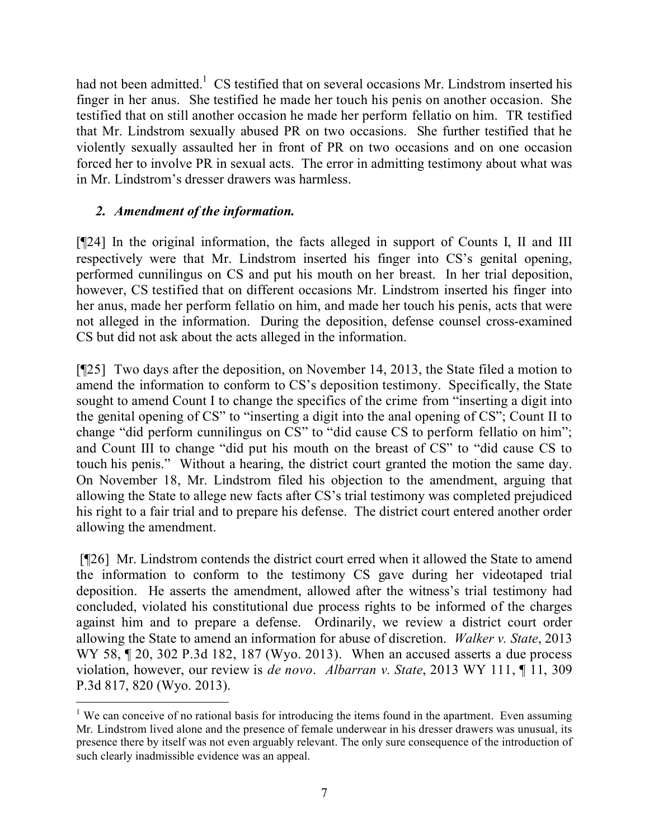had not been admitted.<sup>1</sup> CS testified that on several occasions Mr. Lindstrom inserted his finger in her anus. She testified he made her touch his penis on another occasion. She testified that on still another occasion he made her perform fellatio on him. TR testified that Mr. Lindstrom sexually abused PR on two occasions. She further testified that he violently sexually assaulted her in front of PR on two occasions and on one occasion forced her to involve PR in sexual acts. The error in admitting testimony about what was in Mr. Lindstrom's dresser drawers was harmless.

# *2. Amendment of the information.*

 $\overline{a}$ 

[¶24] In the original information, the facts alleged in support of Counts I, II and III respectively were that Mr. Lindstrom inserted his finger into CS's genital opening, performed cunnilingus on CS and put his mouth on her breast. In her trial deposition, however, CS testified that on different occasions Mr. Lindstrom inserted his finger into her anus, made her perform fellatio on him, and made her touch his penis, acts that were not alleged in the information. During the deposition, defense counsel cross-examined CS but did not ask about the acts alleged in the information.

[¶25] Two days after the deposition, on November 14, 2013, the State filed a motion to amend the information to conform to CS's deposition testimony. Specifically, the State sought to amend Count I to change the specifics of the crime from "inserting a digit into the genital opening of CS" to "inserting a digit into the anal opening of CS"; Count II to change "did perform cunnilingus on CS" to "did cause CS to perform fellatio on him"; and Count III to change "did put his mouth on the breast of CS" to "did cause CS to touch his penis." Without a hearing, the district court granted the motion the same day. On November 18, Mr. Lindstrom filed his objection to the amendment, arguing that allowing the State to allege new facts after CS's trial testimony was completed prejudiced his right to a fair trial and to prepare his defense. The district court entered another order allowing the amendment.

[¶26] Mr. Lindstrom contends the district court erred when it allowed the State to amend the information to conform to the testimony CS gave during her videotaped trial deposition. He asserts the amendment, allowed after the witness's trial testimony had concluded, violated his constitutional due process rights to be informed of the charges against him and to prepare a defense. Ordinarily, we review a district court order allowing the State to amend an information for abuse of discretion. *Walker v. State*, 2013 WY 58, ¶ 20, 302 P.3d 182, 187 (Wyo. 2013). When an accused asserts a due process violation, however, our review is *de novo*. *Albarran v. State*, 2013 WY 111, ¶ 11, 309 P.3d 817, 820 (Wyo. 2013).

<sup>&</sup>lt;sup>1</sup> We can conceive of no rational basis for introducing the items found in the apartment. Even assuming Mr. Lindstrom lived alone and the presence of female underwear in his dresser drawers was unusual, its presence there by itself was not even arguably relevant. The only sure consequence of the introduction of such clearly inadmissible evidence was an appeal.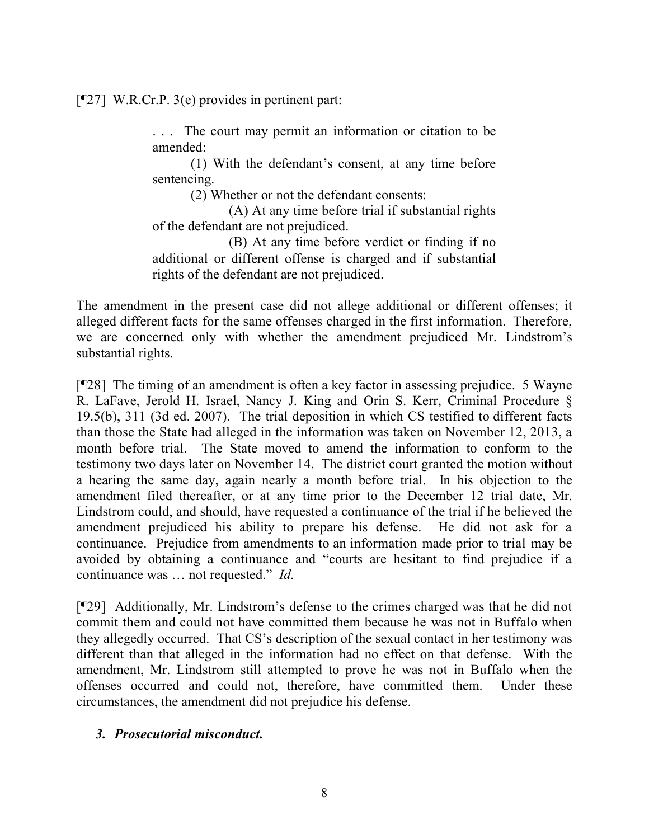[¶27] W.R.Cr.P. 3(e) provides in pertinent part:

. . . The court may permit an information or citation to be amended:

(1) With the defendant's consent, at any time before sentencing.

(2) Whether or not the defendant consents:

(A) At any time before trial if substantial rights of the defendant are not prejudiced.

(B) At any time before verdict or finding if no additional or different offense is charged and if substantial rights of the defendant are not prejudiced.

The amendment in the present case did not allege additional or different offenses; it alleged different facts for the same offenses charged in the first information. Therefore, we are concerned only with whether the amendment prejudiced Mr. Lindstrom's substantial rights.

[¶28] The timing of an amendment is often a key factor in assessing prejudice. 5 Wayne R. LaFave, Jerold H. Israel, Nancy J. King and Orin S. Kerr, Criminal Procedure § 19.5(b), 311 (3d ed. 2007). The trial deposition in which CS testified to different facts than those the State had alleged in the information was taken on November 12, 2013, a month before trial. The State moved to amend the information to conform to the testimony two days later on November 14. The district court granted the motion without a hearing the same day, again nearly a month before trial. In his objection to the amendment filed thereafter, or at any time prior to the December 12 trial date, Mr. Lindstrom could, and should, have requested a continuance of the trial if he believed the amendment prejudiced his ability to prepare his defense. He did not ask for a continuance. Prejudice from amendments to an information made prior to trial may be avoided by obtaining a continuance and "courts are hesitant to find prejudice if a continuance was … not requested." *Id*.

[¶29] Additionally, Mr. Lindstrom's defense to the crimes charged was that he did not commit them and could not have committed them because he was not in Buffalo when they allegedly occurred. That CS's description of the sexual contact in her testimony was different than that alleged in the information had no effect on that defense. With the amendment, Mr. Lindstrom still attempted to prove he was not in Buffalo when the offenses occurred and could not, therefore, have committed them. Under these circumstances, the amendment did not prejudice his defense.

## *3. Prosecutorial misconduct.*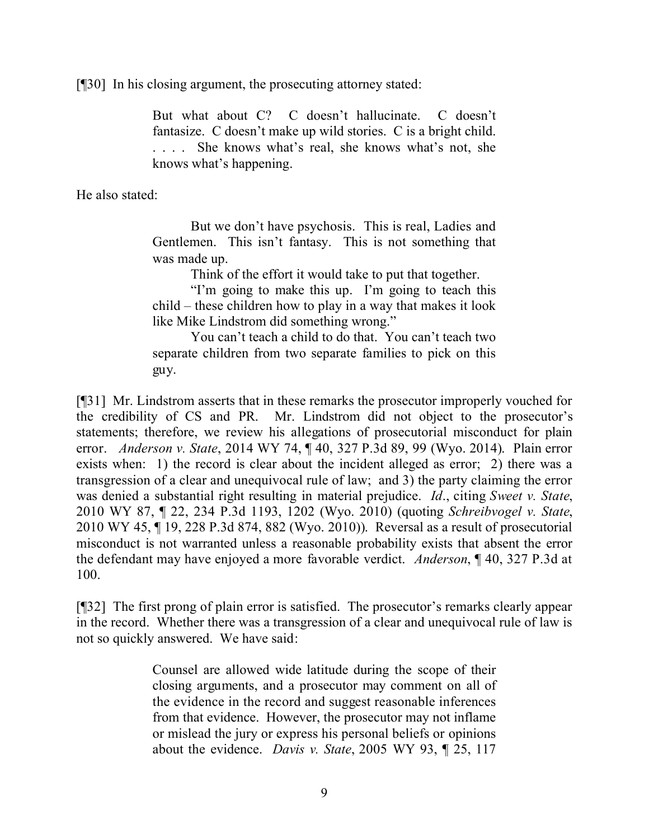[¶30] In his closing argument, the prosecuting attorney stated:

But what about C? C doesn't hallucinate. C doesn't fantasize. C doesn't make up wild stories. C is a bright child. . . . . She knows what's real, she knows what's not, she knows what's happening.

He also stated:

But we don't have psychosis. This is real, Ladies and Gentlemen. This isn't fantasy. This is not something that was made up.

Think of the effort it would take to put that together.

"I'm going to make this up. I'm going to teach this child – these children how to play in a way that makes it look like Mike Lindstrom did something wrong."

You can't teach a child to do that. You can't teach two separate children from two separate families to pick on this guy.

[¶31] Mr. Lindstrom asserts that in these remarks the prosecutor improperly vouched for the credibility of CS and PR. Mr. Lindstrom did not object to the prosecutor's statements; therefore, we review his allegations of prosecutorial misconduct for plain error. *Anderson v. State*, 2014 WY 74, ¶ 40, 327 P.3d 89, 99 (Wyo. 2014). Plain error exists when: 1) the record is clear about the incident alleged as error; 2) there was a transgression of a clear and unequivocal rule of law; and 3) the party claiming the error was denied a substantial right resulting in material prejudice. *Id*., citing *Sweet v. State*, 2010 WY 87, ¶ 22, 234 P.3d 1193, 1202 (Wyo. 2010) (quoting *Schreibvogel v. State*, 2010 WY 45, ¶ 19, 228 P.3d 874, 882 (Wyo. 2010)). Reversal as a result of prosecutorial misconduct is not warranted unless a reasonable probability exists that absent the error the defendant may have enjoyed a more favorable verdict. *Anderson*, ¶ 40, 327 P.3d at 100.

[¶32] The first prong of plain error is satisfied. The prosecutor's remarks clearly appear in the record. Whether there was a transgression of a clear and unequivocal rule of law is not so quickly answered. We have said:

> Counsel are allowed wide latitude during the scope of their closing arguments, and a prosecutor may comment on all of the evidence in the record and suggest reasonable inferences from that evidence. However, the prosecutor may not inflame or mislead the jury or express his personal beliefs or opinions about the evidence. *Davis v. State*, 2005 WY 93, ¶ 25, 117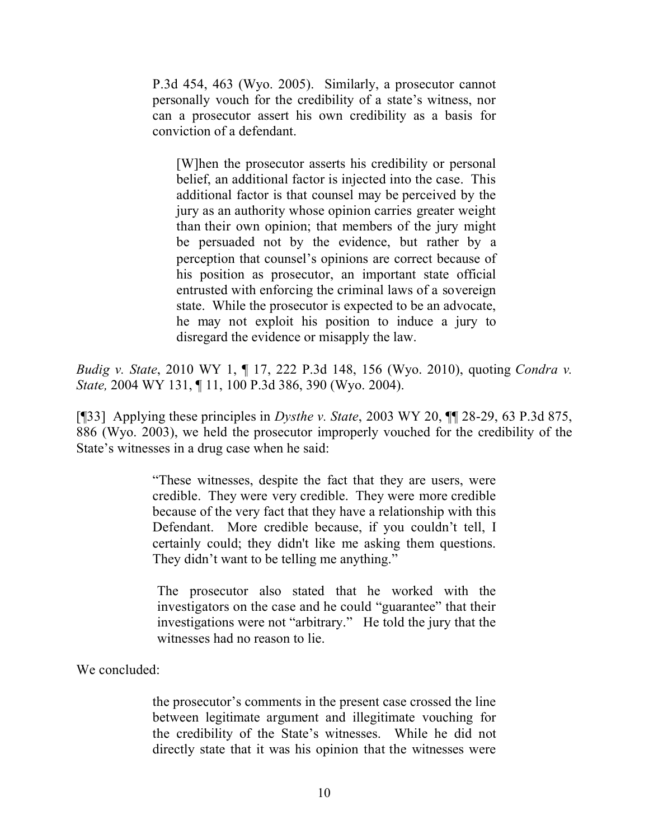P.3d 454, 463 (Wyo. 2005). Similarly, a prosecutor cannot personally vouch for the credibility of a state's witness, nor can a prosecutor assert his own credibility as a basis for conviction of a defendant.

[W]hen the prosecutor asserts his credibility or personal belief, an additional factor is injected into the case. This additional factor is that counsel may be perceived by the jury as an authority whose opinion carries greater weight than their own opinion; that members of the jury might be persuaded not by the evidence, but rather by a perception that counsel's opinions are correct because of his position as prosecutor, an important state official entrusted with enforcing the criminal laws of a sovereign state. While the prosecutor is expected to be an advocate, he may not exploit his position to induce a jury to disregard the evidence or misapply the law.

*Budig v. State*, 2010 WY 1, ¶ 17, 222 P.3d 148, 156 (Wyo. 2010), quoting *Condra v. State,* 2004 WY 131, ¶ 11, 100 P.3d 386, 390 (Wyo. 2004).

[¶33] Applying these principles in *Dysthe v. State*, 2003 WY 20, ¶¶ 28-29, 63 P.3d 875, 886 (Wyo. 2003), we held the prosecutor improperly vouched for the credibility of the State's witnesses in a drug case when he said:

> "These witnesses, despite the fact that they are users, were credible. They were very credible. They were more credible because of the very fact that they have a relationship with this Defendant. More credible because, if you couldn't tell, I certainly could; they didn't like me asking them questions. They didn't want to be telling me anything."

The prosecutor also stated that he worked with the investigators on the case and he could "guarantee" that their investigations were not "arbitrary." He told the jury that the witnesses had no reason to lie.

We concluded:

the prosecutor's comments in the present case crossed the line between legitimate argument and illegitimate vouching for the credibility of the State's witnesses. While he did not directly state that it was his opinion that the witnesses were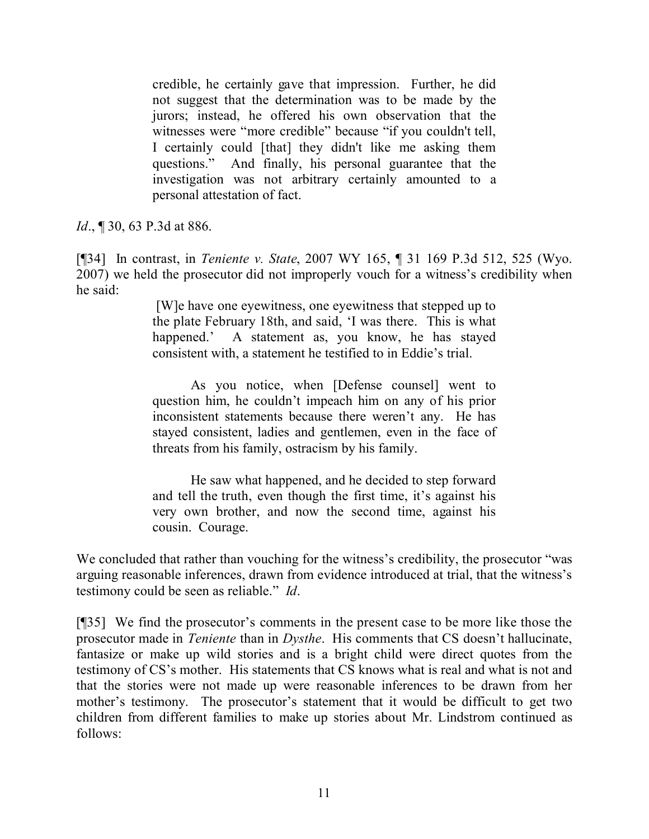credible, he certainly gave that impression. Further, he did not suggest that the determination was to be made by the jurors; instead, he offered his own observation that the witnesses were "more credible" because "if you couldn't tell, I certainly could [that] they didn't like me asking them questions." And finally, his personal guarantee that the investigation was not arbitrary certainly amounted to a personal attestation of fact.

*Id.*, **[30, 63 P.3d at 886.** 

[¶34] In contrast, in *Teniente v. State*, 2007 WY 165, ¶ 31 169 P.3d 512, 525 (Wyo. 2007) we held the prosecutor did not improperly vouch for a witness's credibility when he said:

> [W]e have one eyewitness, one eyewitness that stepped up to the plate February 18th, and said, 'I was there. This is what happened.' A statement as, you know, he has stayed consistent with, a statement he testified to in Eddie's trial.

> As you notice, when [Defense counsel] went to question him, he couldn't impeach him on any of his prior inconsistent statements because there weren't any. He has stayed consistent, ladies and gentlemen, even in the face of threats from his family, ostracism by his family.

> He saw what happened, and he decided to step forward and tell the truth, even though the first time, it's against his very own brother, and now the second time, against his cousin. Courage.

We concluded that rather than vouching for the witness's credibility, the prosecutor "was arguing reasonable inferences, drawn from evidence introduced at trial, that the witness's testimony could be seen as reliable." *Id*.

[¶35] We find the prosecutor's comments in the present case to be more like those the prosecutor made in *Teniente* than in *Dysthe*. His comments that CS doesn't hallucinate, fantasize or make up wild stories and is a bright child were direct quotes from the testimony of CS's mother. His statements that CS knows what is real and what is not and that the stories were not made up were reasonable inferences to be drawn from her mother's testimony. The prosecutor's statement that it would be difficult to get two children from different families to make up stories about Mr. Lindstrom continued as follows: